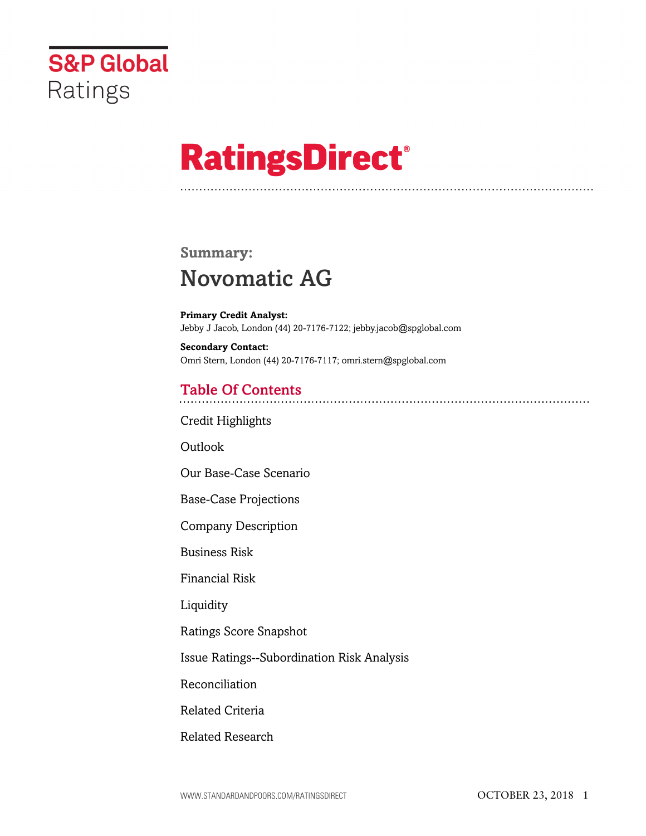

# **RatingsDirect®**

### **Summary:** Novomatic AG

**Primary Credit Analyst:** Jebby J Jacob, London (44) 20-7176-7122; jebby.jacob@spglobal.com

**Secondary Contact:** Omri Stern, London (44) 20-7176-7117; omri.stern@spglobal.com

### Table Of Contents

[Credit Highlights](#page-1-0)

Outlook

[Our Base-Case Scenario](#page-2-0)

[Base-Case Projections](#page-4-0)

[Company Description](#page-5-0)

[Business Risk](#page-6-0)

[Financial Risk](#page-8-0)

[Liquidity](#page-10-0)

[Ratings Score Snapshot](#page-10-1)

[Issue Ratings--Subordination Risk Analysis](#page-11-0)

[Reconciliation](#page-11-1)

[Related Criteria](#page-12-0)

[Related Research](#page-12-1)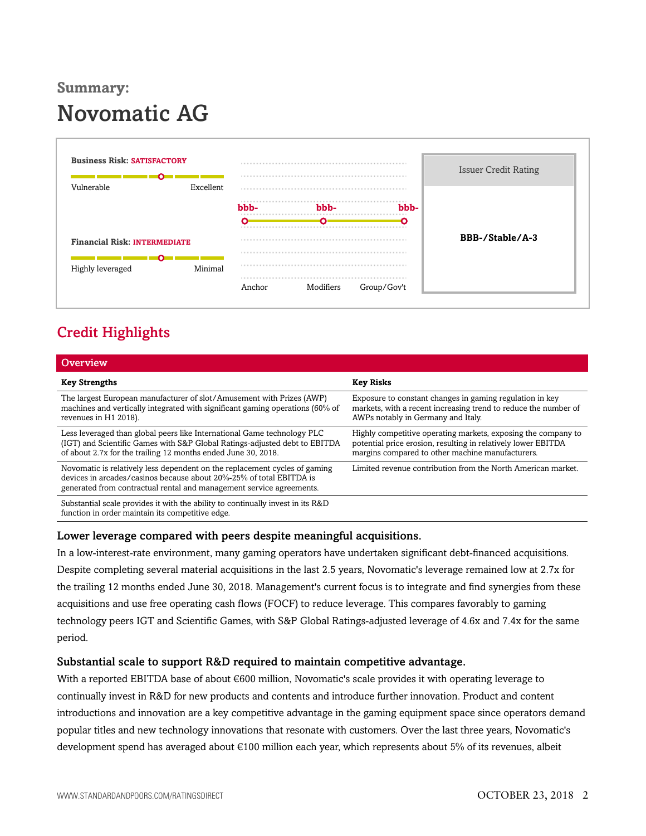## **Summary:** Novomatic AG



### <span id="page-1-0"></span>Credit Highlights

| <b>Overview</b>                                                                                                                                                                                                           |                                                                                                                                                                                    |
|---------------------------------------------------------------------------------------------------------------------------------------------------------------------------------------------------------------------------|------------------------------------------------------------------------------------------------------------------------------------------------------------------------------------|
| <b>Key Strengths</b>                                                                                                                                                                                                      | <b>Key Risks</b>                                                                                                                                                                   |
| The largest European manufacturer of slot/Amusement with Prizes (AWP)<br>machines and vertically integrated with significant gaming operations (60% of<br>revenues in H1 2018).                                           | Exposure to constant changes in gaming regulation in key<br>markets, with a recent increasing trend to reduce the number of<br>AWPs notably in Germany and Italy.                  |
| Less leveraged than global peers like International Game technology PLC<br>(IGT) and Scientific Games with S&P Global Ratings-adjusted debt to EBITDA<br>of about 2.7x for the trailing 12 months ended June 30, 2018.    | Highly competitive operating markets, exposing the company to<br>potential price erosion, resulting in relatively lower EBITDA<br>margins compared to other machine manufacturers. |
| Novomatic is relatively less dependent on the replacement cycles of gaming<br>devices in arcades/casinos because about 20%-25% of total EBITDA is<br>generated from contractual rental and management service agreements. | Limited revenue contribution from the North American market.                                                                                                                       |
| Substantial scale provides it with the ability to continually invest in its R&D<br>function in order maintain its competitive edge.                                                                                       |                                                                                                                                                                                    |

#### Lower leverage compared with peers despite meaningful acquisitions.

In a low-interest-rate environment, many gaming operators have undertaken significant debt-financed acquisitions. Despite completing several material acquisitions in the last 2.5 years, Novomatic's leverage remained low at 2.7x for the trailing 12 months ended June 30, 2018. Management's current focus is to integrate and find synergies from these acquisitions and use free operating cash flows (FOCF) to reduce leverage. This compares favorably to gaming technology peers IGT and Scientific Games, with S&P Global Ratings-adjusted leverage of 4.6x and 7.4x for the same period.

#### Substantial scale to support R&D required to maintain competitive advantage.

With a reported EBITDA base of about €600 million, Novomatic's scale provides it with operating leverage to continually invest in R&D for new products and contents and introduce further innovation. Product and content introductions and innovation are a key competitive advantage in the gaming equipment space since operators demand popular titles and new technology innovations that resonate with customers. Over the last three years, Novomatic's development spend has averaged about €100 million each year, which represents about 5% of its revenues, albeit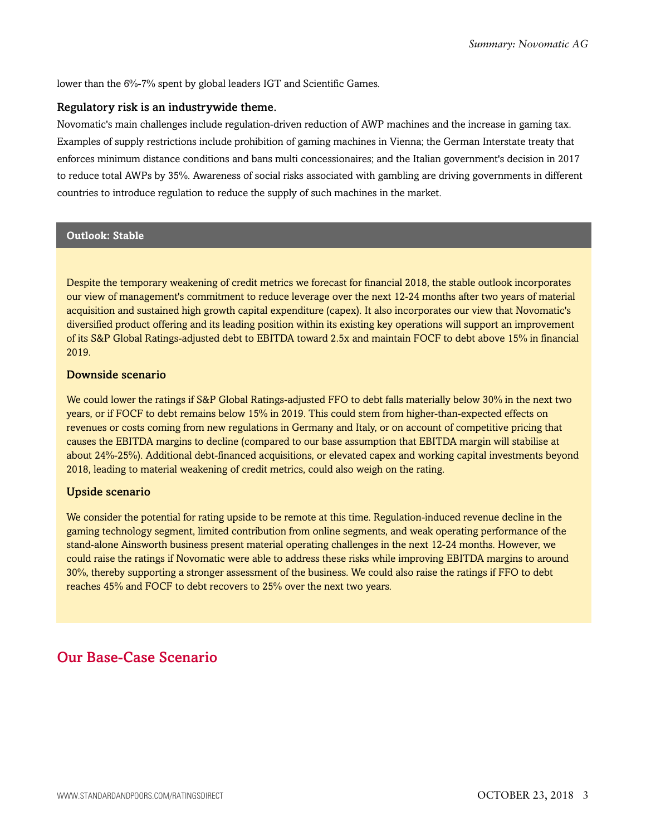lower than the 6%-7% spent by global leaders IGT and Scientific Games.

#### Regulatory risk is an industrywide theme.

Novomatic's main challenges include regulation-driven reduction of AWP machines and the increase in gaming tax. Examples of supply restrictions include prohibition of gaming machines in Vienna; the German Interstate treaty that enforces minimum distance conditions and bans multi concessionaires; and the Italian government's decision in 2017 to reduce total AWPs by 35%. Awareness of social risks associated with gambling are driving governments in different countries to introduce regulation to reduce the supply of such machines in the market.

#### **Outlook: Stable**

Despite the temporary weakening of credit metrics we forecast for financial 2018, the stable outlook incorporates our view of management's commitment to reduce leverage over the next 12-24 months after two years of material acquisition and sustained high growth capital expenditure (capex). It also incorporates our view that Novomatic's diversified product offering and its leading position within its existing key operations will support an improvement of its S&P Global Ratings-adjusted debt to EBITDA toward 2.5x and maintain FOCF to debt above 15% in financial 2019.

#### Downside scenario

We could lower the ratings if S&P Global Ratings-adjusted FFO to debt falls materially below 30% in the next two years, or if FOCF to debt remains below 15% in 2019. This could stem from higher-than-expected effects on revenues or costs coming from new regulations in Germany and Italy, or on account of competitive pricing that causes the EBITDA margins to decline (compared to our base assumption that EBITDA margin will stabilise at about 24%-25%). Additional debt-financed acquisitions, or elevated capex and working capital investments beyond 2018, leading to material weakening of credit metrics, could also weigh on the rating.

#### Upside scenario

We consider the potential for rating upside to be remote at this time. Regulation-induced revenue decline in the gaming technology segment, limited contribution from online segments, and weak operating performance of the stand-alone Ainsworth business present material operating challenges in the next 12-24 months. However, we could raise the ratings if Novomatic were able to address these risks while improving EBITDA margins to around 30%, thereby supporting a stronger assessment of the business. We could also raise the ratings if FFO to debt reaches 45% and FOCF to debt recovers to 25% over the next two years.

### <span id="page-2-0"></span>Our Base-Case Scenario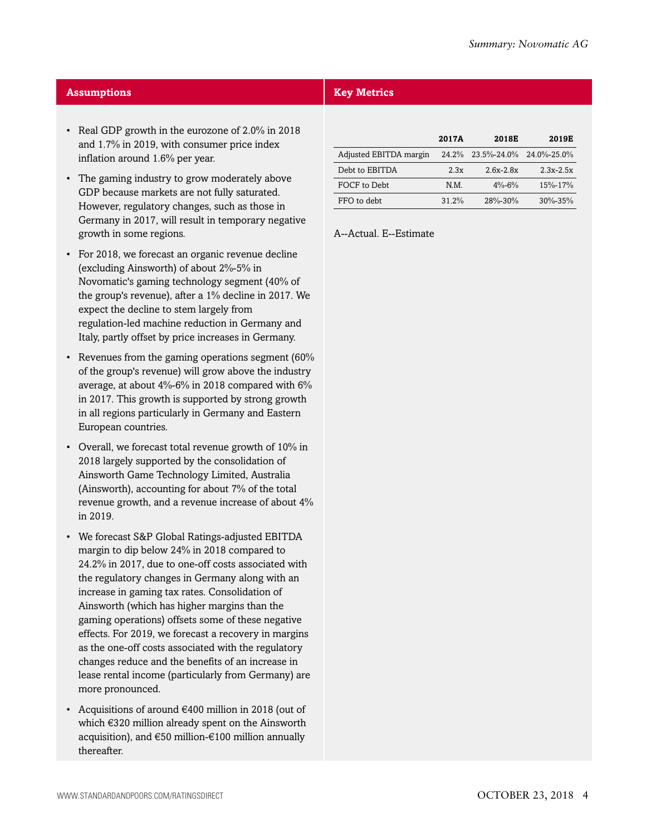### **Assumptions Key Metrics**

- Real GDP growth in the eurozone of 2.0% in 2018 and 1.7% in 2019, with consumer price index inflation around 1.6% per year.
- The gaming industry to grow moderately above GDP because markets are not fully saturated. However, regulatory changes, such as those in Germany in 2017, will result in temporary negative growth in some regions.
- For 2018, we forecast an organic revenue decline (excluding Ainsworth) of about 2%-5% in Novomatic's gaming technology segment (40% of the group's revenue), after a 1% decline in 2017. We expect the decline to stem largely from regulation-led machine reduction in Germany and Italy, partly offset by price increases in Germany.
- Revenues from the gaming operations segment (60% of the group's revenue) will grow above the industry average, at about 4%-6% in 2018 compared with 6% in 2017. This growth is supported by strong growth in all regions particularly in Germany and Eastern European countries.
- Overall, we forecast total revenue growth of 10% in 2018 largely supported by the consolidation of Ainsworth Game Technology Limited, Australia (Ainsworth), accounting for about 7% of the total revenue growth, and a revenue increase of about 4% in 2019.
- We forecast S&P Global Ratings-adjusted EBITDA margin to dip below 24% in 2018 compared to 24.2% in 2017, due to one-off costs associated with the regulatory changes in Germany along with an increase in gaming tax rates. Consolidation of Ainsworth (which has higher margins than the gaming operations) offsets some of these negative effects. For 2019, we forecast a recovery in margins as the one-off costs associated with the regulatory changes reduce and the benefits of an increase in lease rental income (particularly from Germany) are more pronounced.
- Acquisitions of around €400 million in 2018 (out of which €320 million already spent on the Ainsworth acquisition), and €50 million-€100 million annually thereafter.

|                        | 2017A | 2018E                         | 2019E         |
|------------------------|-------|-------------------------------|---------------|
| Adjusted EBITDA margin |       | 24.2% 23.5%-24.0% 24.0%-25.0% |               |
| Debt to EBITDA         | 2.3x  | $2.6x - 2.8x$                 | $2.3x-2.5x$   |
| FOCF to Debt           | N.M.  | $4\% - 6\%$                   | $15% - 17%$   |
| FFO to debt            | 31.2% | $28\% - 30\%$                 | $30\% - 35\%$ |

A--Actual. E--Estimate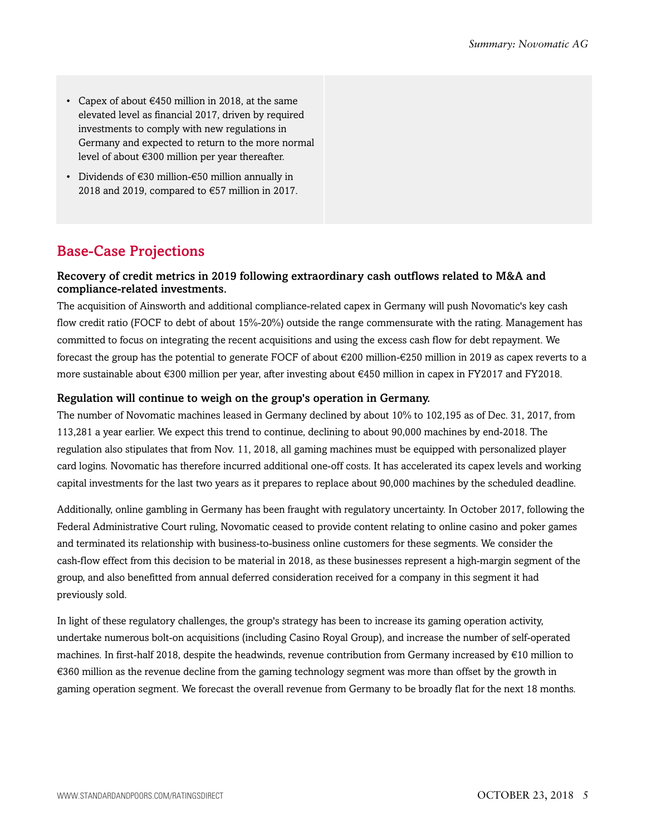- Capex of about  $€450$  million in 2018, at the same elevated level as financial 2017, driven by required investments to comply with new regulations in Germany and expected to return to the more normal level of about €300 million per year thereafter.
- Dividends of €30 million-€50 million annually in 2018 and 2019, compared to €57 million in 2017.

### <span id="page-4-0"></span>Base-Case Projections

#### Recovery of credit metrics in 2019 following extraordinary cash outflows related to M&A and compliance-related investments.

The acquisition of Ainsworth and additional compliance-related capex in Germany will push Novomatic's key cash flow credit ratio (FOCF to debt of about 15%-20%) outside the range commensurate with the rating. Management has committed to focus on integrating the recent acquisitions and using the excess cash flow for debt repayment. We forecast the group has the potential to generate FOCF of about €200 million-€250 million in 2019 as capex reverts to a more sustainable about €300 million per year, after investing about €450 million in capex in FY2017 and FY2018.

#### Regulation will continue to weigh on the group's operation in Germany.

The number of Novomatic machines leased in Germany declined by about 10% to 102,195 as of Dec. 31, 2017, from 113,281 a year earlier. We expect this trend to continue, declining to about 90,000 machines by end-2018. The regulation also stipulates that from Nov. 11, 2018, all gaming machines must be equipped with personalized player card logins. Novomatic has therefore incurred additional one-off costs. It has accelerated its capex levels and working capital investments for the last two years as it prepares to replace about 90,000 machines by the scheduled deadline.

Additionally, online gambling in Germany has been fraught with regulatory uncertainty. In October 2017, following the Federal Administrative Court ruling, Novomatic ceased to provide content relating to online casino and poker games and terminated its relationship with business-to-business online customers for these segments. We consider the cash-flow effect from this decision to be material in 2018, as these businesses represent a high-margin segment of the group, and also benefitted from annual deferred consideration received for a company in this segment it had previously sold.

In light of these regulatory challenges, the group's strategy has been to increase its gaming operation activity, undertake numerous bolt-on acquisitions (including Casino Royal Group), and increase the number of self-operated machines. In first-half 2018, despite the headwinds, revenue contribution from Germany increased by €10 million to €360 million as the revenue decline from the gaming technology segment was more than offset by the growth in gaming operation segment. We forecast the overall revenue from Germany to be broadly flat for the next 18 months.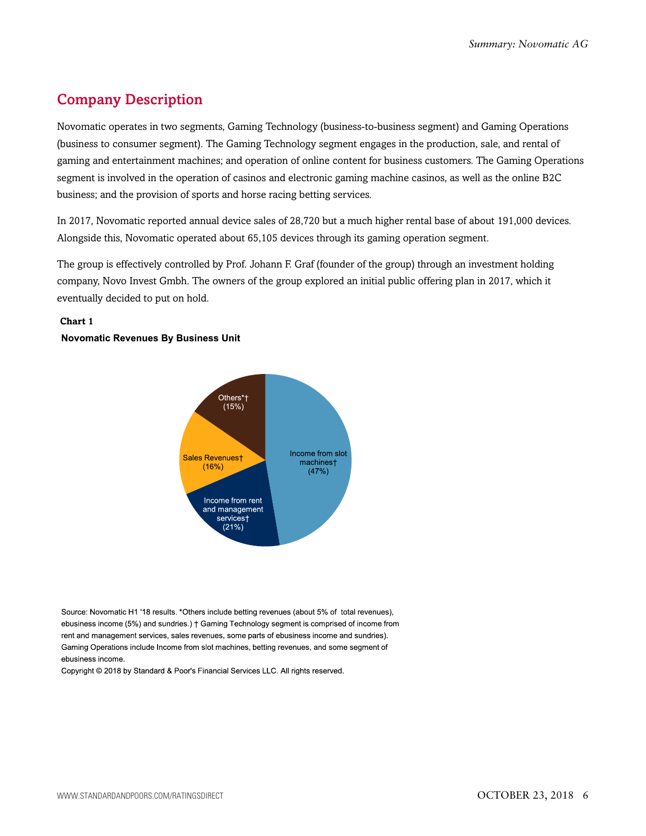### <span id="page-5-0"></span>Company Description

Novomatic operates in two segments, Gaming Technology (business-to-business segment) and Gaming Operations (business to consumer segment). The Gaming Technology segment engages in the production, sale, and rental of gaming and entertainment machines; and operation of online content for business customers. The Gaming Operations segment is involved in the operation of casinos and electronic gaming machine casinos, as well as the online B2C business; and the provision of sports and horse racing betting services.

In 2017, Novomatic reported annual device sales of 28,720 but a much higher rental base of about 191,000 devices. Alongside this, Novomatic operated about 65,105 devices through its gaming operation segment.

The group is effectively controlled by Prof. Johann F. Graf (founder of the group) through an investment holding company, Novo Invest Gmbh. The owners of the group explored an initial public offering plan in 2017, which it eventually decided to put on hold.

#### **Chart 1**

#### **Novomatic Revenues By Business Unit**



Source: Novomatic H1 '18 results. \*Others include betting revenues (about 5% of total revenues), ebusiness income (5%) and sundries.) + Gaming Technology segment is comprised of income from rent and management services, sales revenues, some parts of ebusiness income and sundries). Gaming Operations include Income from slot machines, betting revenues, and some segment of ebusiness income.

Copyright © 2018 by Standard & Poor's Financial Services LLC. All rights reserved.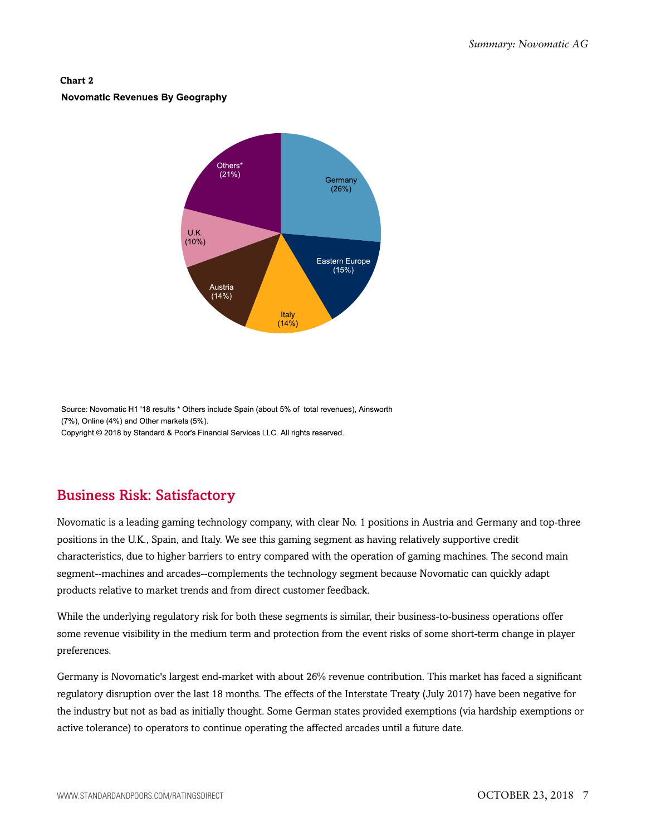#### **Chart 2**

#### **Novomatic Revenues By Geography**



Source: Novomatic H1 '18 results \* Others include Spain (about 5% of total revenues), Ainsworth (7%), Online (4%) and Other markets (5%). Copyright © 2018 by Standard & Poor's Financial Services LLC. All rights reserved.

### <span id="page-6-0"></span>Business Risk: Satisfactory

Novomatic is a leading gaming technology company, with clear No. 1 positions in Austria and Germany and top-three positions in the U.K., Spain, and Italy. We see this gaming segment as having relatively supportive credit characteristics, due to higher barriers to entry compared with the operation of gaming machines. The second main segment--machines and arcades--complements the technology segment because Novomatic can quickly adapt products relative to market trends and from direct customer feedback.

While the underlying regulatory risk for both these segments is similar, their business-to-business operations offer some revenue visibility in the medium term and protection from the event risks of some short-term change in player preferences.

Germany is Novomatic's largest end-market with about 26% revenue contribution. This market has faced a significant regulatory disruption over the last 18 months. The effects of the Interstate Treaty (July 2017) have been negative for the industry but not as bad as initially thought. Some German states provided exemptions (via hardship exemptions or active tolerance) to operators to continue operating the affected arcades until a future date.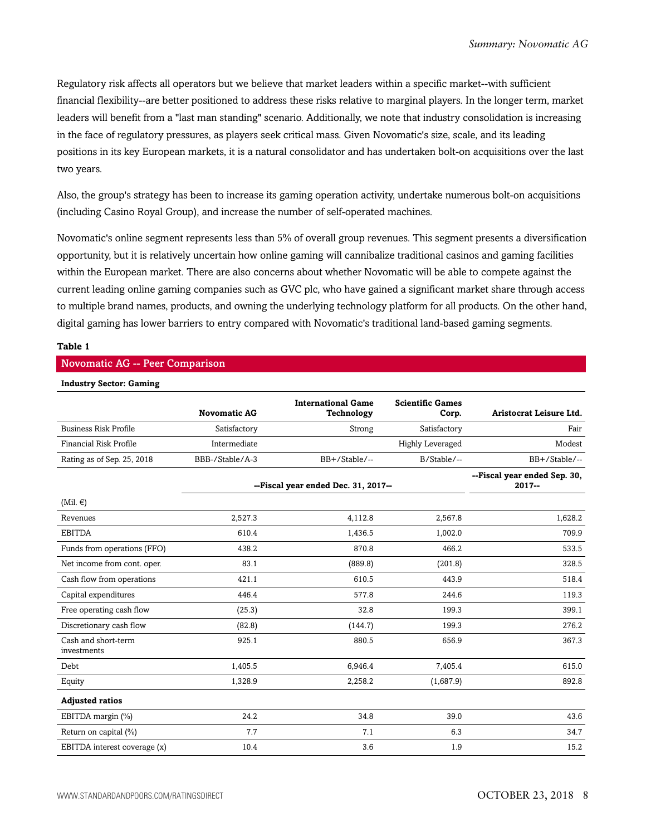Regulatory risk affects all operators but we believe that market leaders within a specific market--with sufficient financial flexibility--are better positioned to address these risks relative to marginal players. In the longer term, market leaders will benefit from a "last man standing" scenario. Additionally, we note that industry consolidation is increasing in the face of regulatory pressures, as players seek critical mass. Given Novomatic's size, scale, and its leading positions in its key European markets, it is a natural consolidator and has undertaken bolt-on acquisitions over the last two years.

Also, the group's strategy has been to increase its gaming operation activity, undertake numerous bolt-on acquisitions (including Casino Royal Group), and increase the number of self-operated machines.

Novomatic's online segment represents less than 5% of overall group revenues. This segment presents a diversification opportunity, but it is relatively uncertain how online gaming will cannibalize traditional casinos and gaming facilities within the European market. There are also concerns about whether Novomatic will be able to compete against the current leading online gaming companies such as GVC plc, who have gained a significant market share through access to multiple brand names, products, and owning the underlying technology platform for all products. On the other hand, digital gaming has lower barriers to entry compared with Novomatic's traditional land-based gaming segments.

#### **Table 1**

#### Novomatic AG -- Peer Comparison

**Industry Sector: Gaming**

|                                    | <b>Novomatic AG</b> | <b>International Game</b><br><b>Technology</b> | <b>Scientific Games</b><br>Corp. | Aristocrat Leisure Ltd.                  |
|------------------------------------|---------------------|------------------------------------------------|----------------------------------|------------------------------------------|
| <b>Business Risk Profile</b>       | Satisfactory        | Strong                                         | Satisfactory                     | Fair                                     |
| Financial Risk Profile             | Intermediate        |                                                | Highly Leveraged                 | Modest                                   |
| Rating as of Sep. 25, 2018         | BBB-/Stable/A-3     | BB+/Stable/--                                  | B/Stable/--                      | BB+/Stable/--                            |
|                                    |                     | --Fiscal year ended Dec. 31, 2017--            |                                  | --Fiscal year ended Sep. 30,<br>$2017 -$ |
| (Mil. $\in$ )                      |                     |                                                |                                  |                                          |
| Revenues                           | 2,527.3             | 4,112.8                                        | 2,567.8                          | 1,628.2                                  |
| <b>EBITDA</b>                      | 610.4               | 1.436.5                                        | 1.002.0                          | 709.9                                    |
| Funds from operations (FFO)        | 438.2               | 870.8                                          | 466.2                            | 533.5                                    |
| Net income from cont. oper.        | 83.1                | (889.8)                                        | (201.8)                          | 328.5                                    |
| Cash flow from operations          | 421.1               | 610.5                                          | 443.9                            | 518.4                                    |
| Capital expenditures               | 446.4               | 577.8                                          | 244.6                            | 119.3                                    |
| Free operating cash flow           | (25.3)              | 32.8                                           | 199.3                            | 399.1                                    |
| Discretionary cash flow            | (82.8)              | (144.7)                                        | 199.3                            | 276.2                                    |
| Cash and short-term<br>investments | 925.1               | 880.5                                          | 656.9                            | 367.3                                    |
| <b>Debt</b>                        | 1,405.5             | 6,946.4                                        | 7,405.4                          | 615.0                                    |
| Equity                             | 1,328.9             | 2,258.2                                        | (1,687.9)                        | 892.8                                    |
| <b>Adjusted ratios</b>             |                     |                                                |                                  |                                          |
| EBITDA margin (%)                  | 24.2                | 34.8                                           | 39.0                             | 43.6                                     |
| Return on capital (%)              | 7.7                 | 7.1                                            | 6.3                              | 34.7                                     |
| EBITDA interest coverage (x)       | 10.4                | 3.6                                            | 1.9                              | 15.2                                     |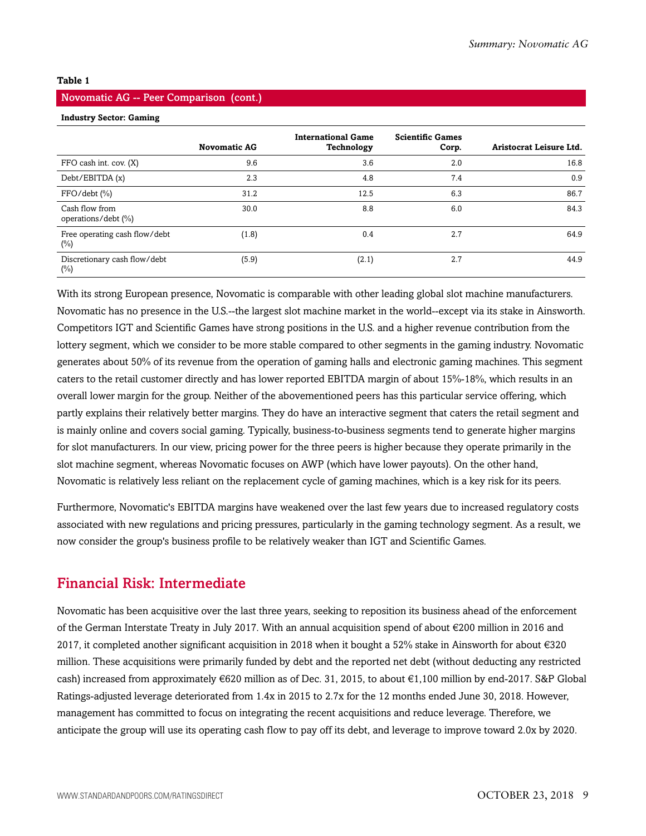#### **Table 1**

#### Novomatic AG -- Peer Comparison (cont.)

**Industry Sector: Gaming**

|                                         | <b>Novomatic AG</b> | <b>International Game</b><br><b>Technology</b> | <b>Scientific Games</b><br>Corp. | Aristocrat Leisure Ltd. |
|-----------------------------------------|---------------------|------------------------------------------------|----------------------------------|-------------------------|
| FFO cash int. cov. (X)                  | 9.6                 | 3.6                                            | 2.0                              | 16.8                    |
| Debt/EBITDA (x)                         | 2.3                 | 4.8                                            | 7.4                              | 0.9                     |
| $FFO/debt$ $(\%)$                       | 31.2                | 12.5                                           | 6.3                              | 86.7                    |
| Cash flow from<br>operations/debt (%)   | 30.0                | 8.8                                            | 6.0                              | 84.3                    |
| Free operating cash flow/debt<br>$(\%)$ | (1.8)               | 0.4                                            | 2.7                              | 64.9                    |
| Discretionary cash flow/debt<br>$(\%)$  | (5.9)               | (2.1)                                          | 2.7                              | 44.9                    |

With its strong European presence, Novomatic is comparable with other leading global slot machine manufacturers. Novomatic has no presence in the U.S.--the largest slot machine market in the world--except via its stake in Ainsworth. Competitors IGT and Scientific Games have strong positions in the U.S. and a higher revenue contribution from the lottery segment, which we consider to be more stable compared to other segments in the gaming industry. Novomatic generates about 50% of its revenue from the operation of gaming halls and electronic gaming machines. This segment caters to the retail customer directly and has lower reported EBITDA margin of about 15%-18%, which results in an overall lower margin for the group. Neither of the abovementioned peers has this particular service offering, which partly explains their relatively better margins. They do have an interactive segment that caters the retail segment and is mainly online and covers social gaming. Typically, business-to-business segments tend to generate higher margins for slot manufacturers. In our view, pricing power for the three peers is higher because they operate primarily in the slot machine segment, whereas Novomatic focuses on AWP (which have lower payouts). On the other hand, Novomatic is relatively less reliant on the replacement cycle of gaming machines, which is a key risk for its peers.

Furthermore, Novomatic's EBITDA margins have weakened over the last few years due to increased regulatory costs associated with new regulations and pricing pressures, particularly in the gaming technology segment. As a result, we now consider the group's business profile to be relatively weaker than IGT and Scientific Games.

### <span id="page-8-0"></span>Financial Risk: Intermediate

Novomatic has been acquisitive over the last three years, seeking to reposition its business ahead of the enforcement of the German Interstate Treaty in July 2017. With an annual acquisition spend of about €200 million in 2016 and 2017, it completed another significant acquisition in 2018 when it bought a 52% stake in Ainsworth for about €320 million. These acquisitions were primarily funded by debt and the reported net debt (without deducting any restricted cash) increased from approximately €620 million as of Dec. 31, 2015, to about €1,100 million by end-2017. S&P Global Ratings-adjusted leverage deteriorated from 1.4x in 2015 to 2.7x for the 12 months ended June 30, 2018. However, management has committed to focus on integrating the recent acquisitions and reduce leverage. Therefore, we anticipate the group will use its operating cash flow to pay off its debt, and leverage to improve toward 2.0x by 2020.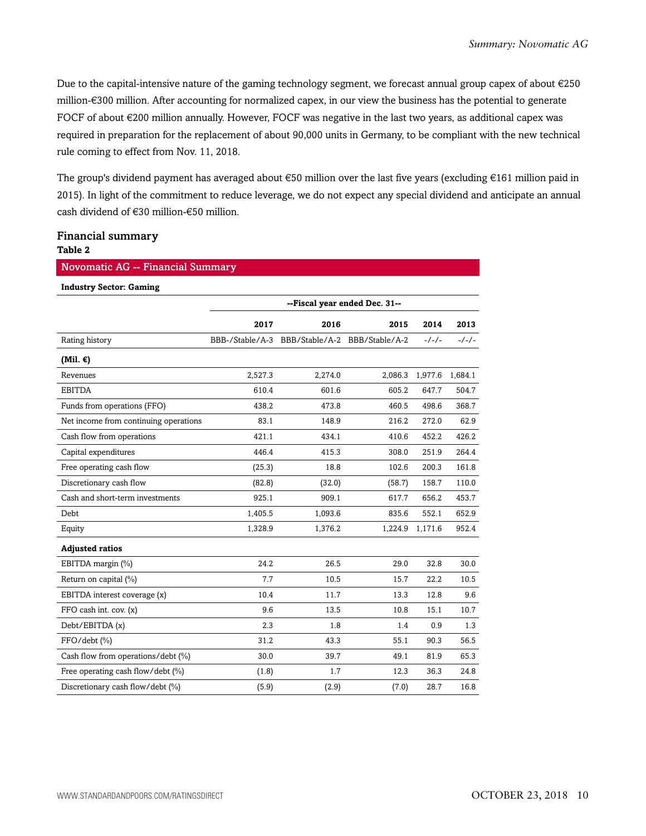Due to the capital-intensive nature of the gaming technology segment, we forecast annual group capex of about €250 million-€300 million. After accounting for normalized capex, in our view the business has the potential to generate FOCF of about €200 million annually. However, FOCF was negative in the last two years, as additional capex was required in preparation for the replacement of about 90,000 units in Germany, to be compliant with the new technical rule coming to effect from Nov. 11, 2018.

The group's dividend payment has averaged about €50 million over the last five years (excluding €161 million paid in 2015). In light of the commitment to reduce leverage, we do not expect any special dividend and anticipate an annual cash dividend of €30 million-€50 million.

#### Financial summary

#### **Table 2**

| Novomatic AG -- Financial Summary     |                 |                               |         |         |         |  |  |  |  |  |
|---------------------------------------|-----------------|-------------------------------|---------|---------|---------|--|--|--|--|--|
| <b>Industry Sector: Gaming</b>        |                 |                               |         |         |         |  |  |  |  |  |
|                                       |                 | --Fiscal year ended Dec. 31-- |         |         |         |  |  |  |  |  |
|                                       | 2017            | 2016                          | 2015    | 2014    | 2013    |  |  |  |  |  |
| Rating history                        | BBB-/Stable/A-3 | BBB/Stable/A-2 BBB/Stable/A-2 |         | $-/-/-$ | -/-/-   |  |  |  |  |  |
| (Mil. $\epsilon$ )                    |                 |                               |         |         |         |  |  |  |  |  |
| Revenues                              | 2,527.3         | 2,274.0                       | 2,086.3 | 1,977.6 | 1,684.1 |  |  |  |  |  |
| <b>EBITDA</b>                         | 610.4           | 601.6                         | 605.2   | 647.7   | 504.7   |  |  |  |  |  |
| Funds from operations (FFO)           | 438.2           | 473.8                         | 460.5   | 498.6   | 368.7   |  |  |  |  |  |
| Net income from continuing operations | 83.1            | 148.9                         | 216.2   | 272.0   | 62.9    |  |  |  |  |  |
| Cash flow from operations             | 421.1           | 434.1                         | 410.6   | 452.2   | 426.2   |  |  |  |  |  |
| Capital expenditures                  | 446.4           | 415.3                         | 308.0   | 251.9   | 264.4   |  |  |  |  |  |
| Free operating cash flow              | (25.3)          | 18.8                          | 102.6   | 200.3   | 161.8   |  |  |  |  |  |
| Discretionary cash flow               | (82.8)          | (32.0)                        | (58.7)  | 158.7   | 110.0   |  |  |  |  |  |
| Cash and short-term investments       | 925.1           | 909.1                         | 617.7   | 656.2   | 453.7   |  |  |  |  |  |
| Debt                                  | 1,405.5         | 1,093.6                       | 835.6   | 552.1   | 652.9   |  |  |  |  |  |
| Equity                                | 1,328.9         | 1,376.2                       | 1,224.9 | 1,171.6 | 952.4   |  |  |  |  |  |
| <b>Adjusted ratios</b>                |                 |                               |         |         |         |  |  |  |  |  |
| EBITDA margin (%)                     | 24.2            | 26.5                          | 29.0    | 32.8    | 30.0    |  |  |  |  |  |
| Return on capital (%)                 | 7.7             | 10.5                          | 15.7    | 22.2    | 10.5    |  |  |  |  |  |
| EBITDA interest coverage (x)          | 10.4            | 11.7                          | 13.3    | 12.8    | 9.6     |  |  |  |  |  |
| FFO cash int. cov. (x)                | 9.6             | 13.5                          | 10.8    | 15.1    | 10.7    |  |  |  |  |  |
| Debt/EBITDA (x)                       | 2.3             | 1.8                           | 1.4     | 0.9     | 1.3     |  |  |  |  |  |
| $FFO/debt$ (%)                        | 31.2            | 43.3                          | 55.1    | 90.3    | 56.5    |  |  |  |  |  |
| Cash flow from operations/debt (%)    | 30.0            | 39.7                          | 49.1    | 81.9    | 65.3    |  |  |  |  |  |
| Free operating cash flow/debt (%)     | (1.8)           | 1.7                           | 12.3    | 36.3    | 24.8    |  |  |  |  |  |
| Discretionary cash flow/debt (%)      | (5.9)           | (2.9)                         | (7.0)   | 28.7    | 16.8    |  |  |  |  |  |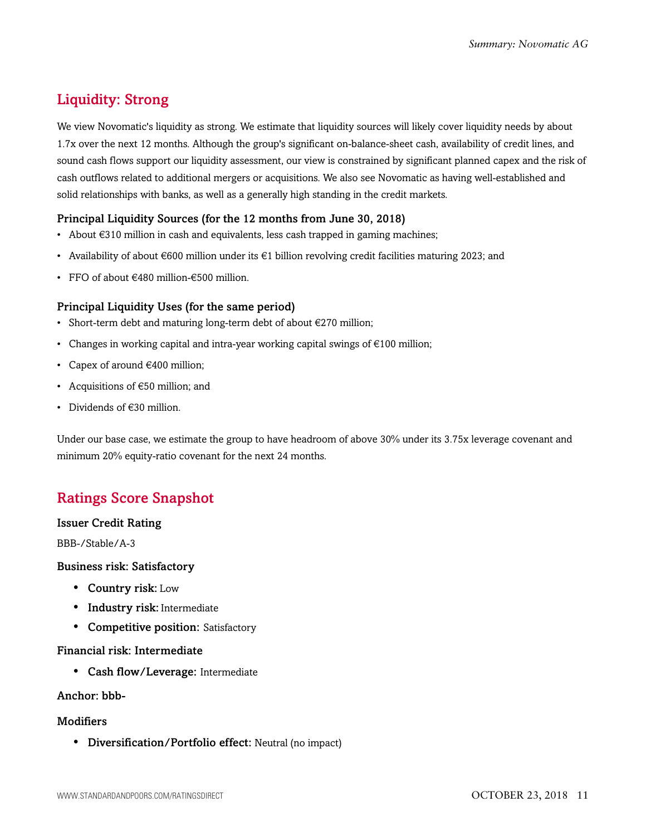### <span id="page-10-0"></span>Liquidity: Strong

We view Novomatic's liquidity as strong. We estimate that liquidity sources will likely cover liquidity needs by about 1.7x over the next 12 months. Although the group's significant on-balance-sheet cash, availability of credit lines, and sound cash flows support our liquidity assessment, our view is constrained by significant planned capex and the risk of cash outflows related to additional mergers or acquisitions. We also see Novomatic as having well-established and solid relationships with banks, as well as a generally high standing in the credit markets.

### Principal Liquidity Sources (for the 12 months from June 30, 2018)

- About €310 million in cash and equivalents, less cash trapped in gaming machines;
- Availability of about €600 million under its €1 billion revolving credit facilities maturing 2023; and
- FFO of about €480 million-€500 million.

#### Principal Liquidity Uses (for the same period)

- Short-term debt and maturing long-term debt of about  $\epsilon$ 270 million;
- Changes in working capital and intra-year working capital swings of €100 million;
- Capex of around €400 million;
- Acquisitions of €50 million; and
- Dividends of €30 million.

Under our base case, we estimate the group to have headroom of above 30% under its 3.75x leverage covenant and minimum 20% equity-ratio covenant for the next 24 months.

### <span id="page-10-1"></span>Ratings Score Snapshot

#### Issuer Credit Rating

BBB-/Stable/A-3

#### Business risk: Satisfactory

- Country risk: Low
- Industry risk: Intermediate
- Competitive position: Satisfactory

Financial risk: Intermediate

• Cash flow/Leverage: Intermediate

#### Anchor: bbb-

#### **Modifiers**

• Diversification/Portfolio effect: Neutral (no impact)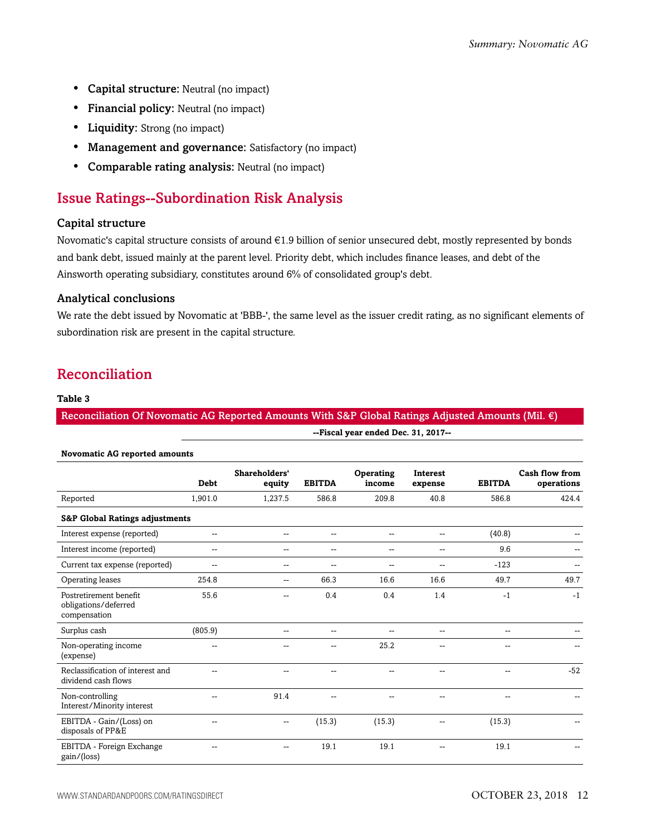- Capital structure: Neutral (no impact)
- Financial policy: Neutral (no impact)
- Liquidity: Strong (no impact)
- Management and governance: Satisfactory (no impact)
- Comparable rating analysis: Neutral (no impact)

### <span id="page-11-0"></span>Issue Ratings--Subordination Risk Analysis

#### Capital structure

Novomatic's capital structure consists of around €1.9 billion of senior unsecured debt, mostly represented by bonds and bank debt, issued mainly at the parent level. Priority debt, which includes finance leases, and debt of the Ainsworth operating subsidiary, constitutes around 6% of consolidated group's debt.

#### Analytical conclusions

We rate the debt issued by Novomatic at 'BBB-', the same level as the issuer credit rating, as no significant elements of subordination risk are present in the capital structure.

### <span id="page-11-1"></span>Reconciliation

#### **Table 3**

Reconciliation Of Novomatic AG Reported Amounts With S&P Global Ratings Adjusted Amounts (Mil. €) **--Fiscal year ended Dec. 31, 2017--**

| <b>Novomatic AG reported amounts</b>                           |                          |                         |                |                     |                            |                |                              |  |
|----------------------------------------------------------------|--------------------------|-------------------------|----------------|---------------------|----------------------------|----------------|------------------------------|--|
|                                                                | <b>Debt</b>              | Shareholders'<br>equity | <b>EBITDA</b>  | Operating<br>income | <b>Interest</b><br>expense | <b>EBITDA</b>  | Cash flow from<br>operations |  |
| Reported                                                       | 1,901.0                  | 1,237.5                 | 586.8          | 209.8               | 40.8                       | 586.8          | 424.4                        |  |
| <b>S&amp;P Global Ratings adjustments</b>                      |                          |                         |                |                     |                            |                |                              |  |
| Interest expense (reported)                                    | $\overline{\phantom{a}}$ | $-$                     | $\overline{a}$ | $\overline{a}$      | $\overline{\phantom{a}}$   | (40.8)         |                              |  |
| Interest income (reported)                                     | $\overline{\phantom{a}}$ | --                      | --             | $\overline{a}$      | --                         | 9.6            |                              |  |
| Current tax expense (reported)                                 | $-$                      | --                      | $\overline{a}$ | $\overline{a}$      | $\overline{a}$             | $-123$         |                              |  |
| Operating leases                                               | 254.8                    | --                      | 66.3           | 16.6                | 16.6                       | 49.7           | 49.7                         |  |
| Postretirement benefit<br>obligations/deferred<br>compensation | 55.6                     | --                      | 0.4            | 0.4                 | 1.4                        | $-1$           | $-1$                         |  |
| Surplus cash                                                   | (805.9)                  | $\overline{a}$          | $\overline{a}$ | $\overline{a}$      | $\sim$                     | $\overline{a}$ |                              |  |
| Non-operating income<br>(expense)                              | $-$                      | --                      | $\sim$         | 25.2                | --                         | --             |                              |  |
| Reclassification of interest and<br>dividend cash flows        | $\overline{a}$           | --                      | $-$            | $\overline{a}$      | --                         | --             | $-52$                        |  |
| Non-controlling<br>Interest/Minority interest                  | $\overline{\phantom{a}}$ | 91.4                    | $\sim$         | $\overline{a}$      | $\overline{\phantom{a}}$   | --             | $-$                          |  |
| EBITDA - Gain/(Loss) on<br>disposals of PP&E                   | $\overline{\phantom{a}}$ | --                      | (15.3)         | (15.3)              | $\overline{\phantom{a}}$   | (15.3)         |                              |  |
| EBITDA - Foreign Exchange<br>gain/(loss)                       | --                       | --                      | 19.1           | 19.1                | --                         | 19.1           |                              |  |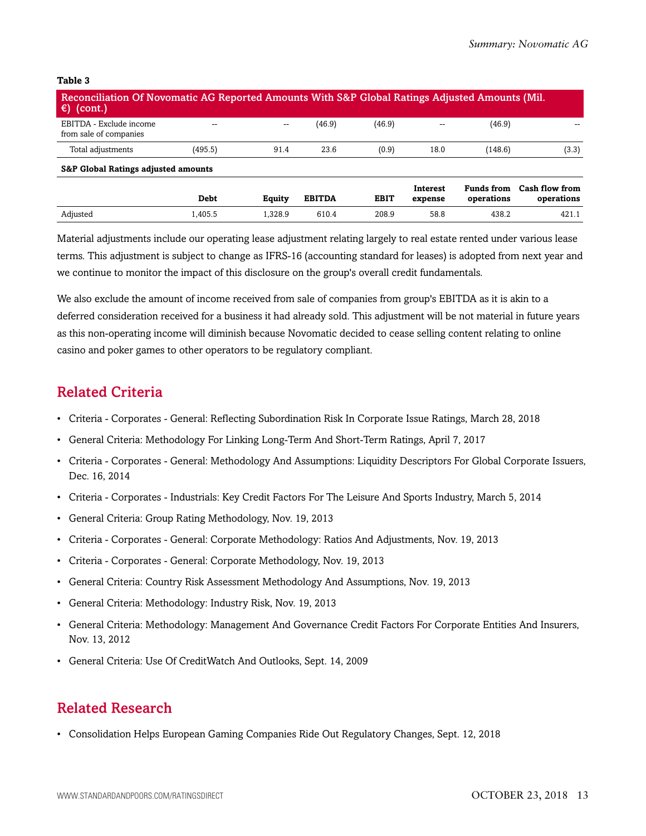#### **Table 3**

| Reconciliation Of Novomatic AG Reported Amounts With S&P Global Ratings Adjusted Amounts (Mil.<br>$\epsilon$<br>(cont.) |         |         |               |             |                            |                                 |                                     |
|-------------------------------------------------------------------------------------------------------------------------|---------|---------|---------------|-------------|----------------------------|---------------------------------|-------------------------------------|
| EBITDA - Exclude income<br>from sale of companies                                                                       | --      | $-$     | (46.9)        | (46.9)      | $-$                        | (46.9)                          |                                     |
| Total adjustments                                                                                                       | (495.5) | 91.4    | 23.6          | (0.9)       | 18.0                       | (148.6)                         | (3.3)                               |
| <b>S&amp;P Global Ratings adjusted amounts</b>                                                                          |         |         |               |             |                            |                                 |                                     |
|                                                                                                                         | Debt    | Equity  | <b>EBITDA</b> | <b>EBIT</b> | <b>Interest</b><br>expense | <b>Funds from</b><br>operations | <b>Cash flow from</b><br>operations |
| Adjusted                                                                                                                | 1.405.5 | 1.328.9 | 610.4         | 208.9       | 58.8                       | 438.2                           | 421.1                               |

Material adjustments include our operating lease adjustment relating largely to real estate rented under various lease terms. This adjustment is subject to change as IFRS-16 (accounting standard for leases) is adopted from next year and we continue to monitor the impact of this disclosure on the group's overall credit fundamentals.

We also exclude the amount of income received from sale of companies from group's EBITDA as it is akin to a deferred consideration received for a business it had already sold. This adjustment will be not material in future years as this non-operating income will diminish because Novomatic decided to cease selling content relating to online casino and poker games to other operators to be regulatory compliant.

### <span id="page-12-0"></span>Related Criteria

- Criteria Corporates General: Reflecting Subordination Risk In Corporate Issue Ratings, March 28, 2018
- General Criteria: Methodology For Linking Long-Term And Short-Term Ratings, April 7, 2017
- Criteria Corporates General: Methodology And Assumptions: Liquidity Descriptors For Global Corporate Issuers, Dec. 16, 2014
- Criteria Corporates Industrials: Key Credit Factors For The Leisure And Sports Industry, March 5, 2014
- General Criteria: Group Rating Methodology, Nov. 19, 2013
- Criteria Corporates General: Corporate Methodology: Ratios And Adjustments, Nov. 19, 2013
- Criteria Corporates General: Corporate Methodology, Nov. 19, 2013
- General Criteria: Country Risk Assessment Methodology And Assumptions, Nov. 19, 2013
- General Criteria: Methodology: Industry Risk, Nov. 19, 2013
- General Criteria: Methodology: Management And Governance Credit Factors For Corporate Entities And Insurers, Nov. 13, 2012
- General Criteria: Use Of CreditWatch And Outlooks, Sept. 14, 2009

### <span id="page-12-1"></span>Related Research

• Consolidation Helps European Gaming Companies Ride Out Regulatory Changes, Sept. 12, 2018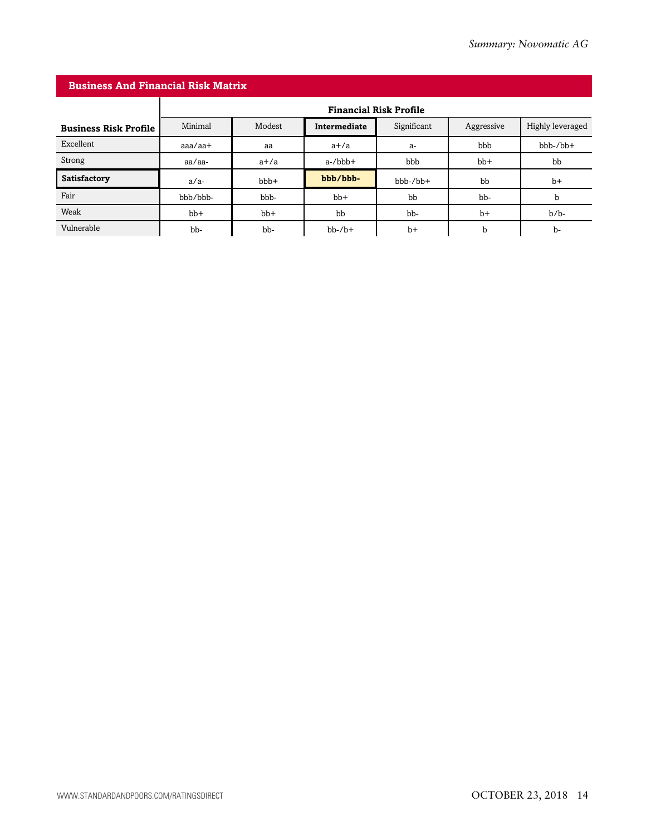| <b>Business And Financial Risk Matrix</b> |                               |        |              |             |            |                  |  |  |  |
|-------------------------------------------|-------------------------------|--------|--------------|-------------|------------|------------------|--|--|--|
|                                           | <b>Financial Risk Profile</b> |        |              |             |            |                  |  |  |  |
| <b>Business Risk Profile</b>              | Minimal                       | Modest | Intermediate | Significant | Aggressive | Highly leveraged |  |  |  |
| Excellent                                 | $a$ aa $/a$ a $+$             | aa     | $a+/a$       | a-          | bbb        | $bbb-/bb+$       |  |  |  |
| Strong                                    | aa/aa-                        | $a+/a$ | $a$ -/ $bbb$ | bbb         | $bb+$      | bb               |  |  |  |
| Satisfactory                              | $a/a-$                        | bbb+   | bbb/bbb-     | $bbb-/bb+$  | bb         | $b+$             |  |  |  |
| Fair                                      | bbb/bbb-                      | bbb-   | $bb+$        | bb          | bb-        | b                |  |  |  |
| Weak                                      | $bb+$                         | $bb+$  | bb           | bb-         | $b+$       | $b/b$ -          |  |  |  |
| Vulnerable                                | bb-                           | bb-    | $bb-7b+$     | $b+$        | b          | b-               |  |  |  |